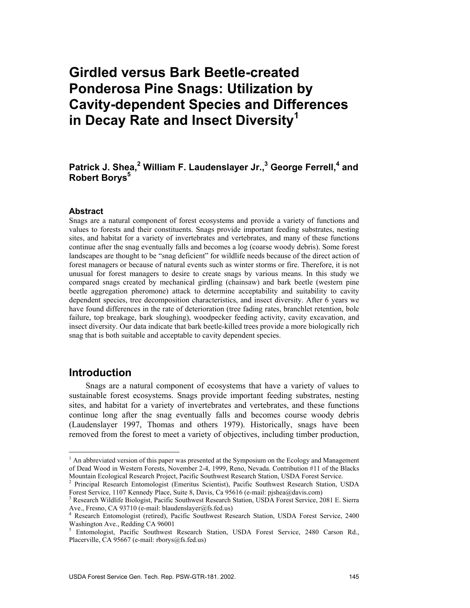# **Girdled versus Bark Beetle-created Ponderosa Pine Snags: Utilization by Cavity-dependent Species and Differences in Decay Rate and Insect Diversity<sup>1</sup>**

### Patrick J. Shea,<sup>2</sup> William F. Laudenslayer Jr.,<sup>3</sup> George Ferrell,<sup>4</sup> and **Robert Borys**<sup>5</sup>

### **Abstract**

Snags are a natural component of forest ecosystems and provide a variety of functions and values to forests and their constituents. Snags provide important feeding substrates, nesting sites, and habitat for a variety of invertebrates and vertebrates, and many of these functions continue after the snag eventually falls and becomes a log (coarse woody debris). Some forest landscapes are thought to be "snag deficient" for wildlife needs because of the direct action of forest managers or because of natural events such as winter storms or fire. Therefore, it is not unusual for forest managers to desire to create snags by various means. In this study we compared snags created by mechanical girdling (chainsaw) and bark beetle (western pine beetle aggregation pheromone) attack to determine acceptability and suitability to cavity dependent species, tree decomposition characteristics, and insect diversity. After 6 years we have found differences in the rate of deterioration (tree fading rates, branchlet retention, bole failure, top breakage, bark sloughing), woodpecker feeding activity, cavity excavation, and insect diversity. Our data indicate that bark beetle-killed trees provide a more biologically rich snag that is both suitable and acceptable to cavity dependent species.

### **Introduction**

 $\overline{a}$ 

Snags are a natural component of ecosystems that have a variety of values to sustainable forest ecosystems. Snags provide important feeding substrates, nesting sites, and habitat for a variety of invertebrates and vertebrates, and these functions continue long after the snag eventually falls and becomes course woody debris (Laudenslayer 1997, Thomas and others 1979). Historically, snags have been removed from the forest to meet a variety of objectives, including timber production,

 $<sup>1</sup>$  An abbreviated version of this paper was presented at the Symposium on the Ecology and Management</sup> of Dead Wood in Western Forests, November 2-4, 1999, Reno, Nevada. Contribution #11 of the Blacks Mountain Ecological Research Project, Pacific Southwest Research Station, USDA Forest Service. 2

<sup>&</sup>lt;sup>2</sup> Principal Research Entomologist (Emeritus Scientist), Pacific Southwest Research Station, USDA Forest Service, 1107 Kennedy Place, Suite 8, Davis, Ca 95616 (e-mail: pjshea@davis.com) 3

<sup>&</sup>lt;sup>3</sup> Research Wildlife Biologist, Pacific Southwest Research Station, USDA Forest Service, 2081 E. Sierra Ave., Fresno, CA 93710 (e-mail: blaudenslayer@fs.fed.us)<br><sup>4</sup> Research Entomologist (retired), Pacific Southwest Research Station, USDA Forest Service, 2400

Washington Ave., Redding CA 96001

<sup>&</sup>lt;sup>5</sup> Entomologist, Pacific Southwest Research Station, USDA Forest Service, 2480 Carson Rd., Placerville, CA 95667 (e-mail: rborys@fs.fed.us)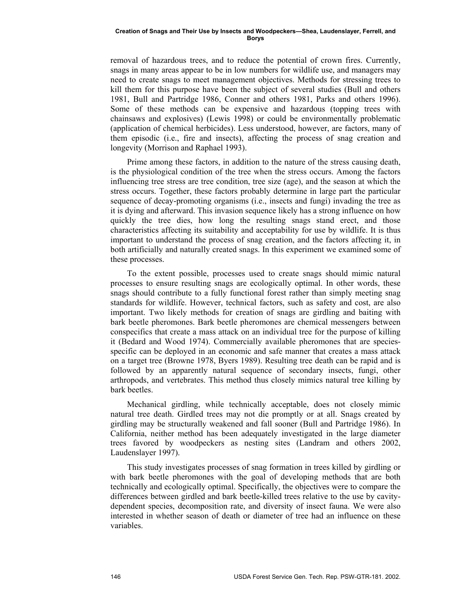removal of hazardous trees, and to reduce the potential of crown fires. Currently, snags in many areas appear to be in low numbers for wildlife use, and managers may need to create snags to meet management objectives. Methods for stressing trees to kill them for this purpose have been the subject of several studies (Bull and others 1981, Bull and Partridge 1986, Conner and others 1981, Parks and others 1996). Some of these methods can be expensive and hazardous (topping trees with chainsaws and explosives) (Lewis 1998) or could be environmentally problematic (application of chemical herbicides). Less understood, however, are factors, many of them episodic (i.e., fire and insects), affecting the process of snag creation and longevity (Morrison and Raphael 1993).

Prime among these factors, in addition to the nature of the stress causing death, is the physiological condition of the tree when the stress occurs. Among the factors influencing tree stress are tree condition, tree size (age), and the season at which the stress occurs. Together, these factors probably determine in large part the particular sequence of decay-promoting organisms (i.e., insects and fungi) invading the tree as it is dying and afterward. This invasion sequence likely has a strong influence on how quickly the tree dies, how long the resulting snags stand erect, and those characteristics affecting its suitability and acceptability for use by wildlife. It is thus important to understand the process of snag creation, and the factors affecting it, in both artificially and naturally created snags. In this experiment we examined some of these processes.

To the extent possible, processes used to create snags should mimic natural processes to ensure resulting snags are ecologically optimal. In other words, these snags should contribute to a fully functional forest rather than simply meeting snag standards for wildlife. However, technical factors, such as safety and cost, are also important. Two likely methods for creation of snags are girdling and baiting with bark beetle pheromones. Bark beetle pheromones are chemical messengers between conspecifics that create a mass attack on an individual tree for the purpose of killing it (Bedard and Wood 1974). Commercially available pheromones that are speciesspecific can be deployed in an economic and safe manner that creates a mass attack on a target tree (Browne 1978, Byers 1989). Resulting tree death can be rapid and is followed by an apparently natural sequence of secondary insects, fungi, other arthropods, and vertebrates. This method thus closely mimics natural tree killing by bark beetles.

Mechanical girdling, while technically acceptable, does not closely mimic natural tree death. Girdled trees may not die promptly or at all. Snags created by girdling may be structurally weakened and fall sooner (Bull and Partridge 1986). In California, neither method has been adequately investigated in the large diameter trees favored by woodpeckers as nesting sites (Landram and others 2002, Laudenslayer 1997).

This study investigates processes of snag formation in trees killed by girdling or with bark beetle pheromones with the goal of developing methods that are both technically and ecologically optimal. Specifically, the objectives were to compare the differences between girdled and bark beetle-killed trees relative to the use by cavitydependent species, decomposition rate, and diversity of insect fauna. We were also interested in whether season of death or diameter of tree had an influence on these variables.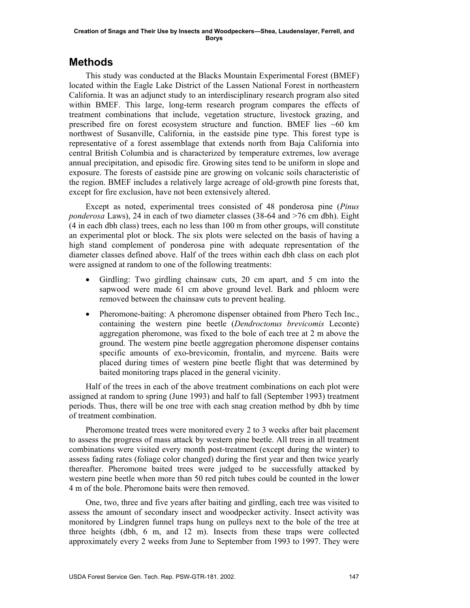## **Methods**

This study was conducted at the Blacks Mountain Experimental Forest (BMEF) located within the Eagle Lake District of the Lassen National Forest in northeastern California. It was an adjunct study to an interdisciplinary research program also sited within BMEF. This large, long-term research program compares the effects of treatment combinations that include, vegetation structure, livestock grazing, and prescribed fire on forest ecosystem structure and function. BMEF lies  $~60$  km northwest of Susanville, California, in the eastside pine type. This forest type is representative of a forest assemblage that extends north from Baja California into central British Columbia and is characterized by temperature extremes, low average annual precipitation, and episodic fire. Growing sites tend to be uniform in slope and exposure. The forests of eastside pine are growing on volcanic soils characteristic of the region. BMEF includes a relatively large acreage of old-growth pine forests that, except for fire exclusion, have not been extensively altered.

Except as noted, experimental trees consisted of 48 ponderosa pine (*Pinus ponderosa* Laws), 24 in each of two diameter classes (38-64 and >76 cm dbh). Eight (4 in each dbh class) trees, each no less than 100 m from other groups, will constitute an experimental plot or block. The six plots were selected on the basis of having a high stand complement of ponderosa pine with adequate representation of the diameter classes defined above. Half of the trees within each dbh class on each plot were assigned at random to one of the following treatments:

- Girdling: Two girdling chainsaw cuts, 20 cm apart, and 5 cm into the sapwood were made 61 cm above ground level. Bark and phloem were removed between the chainsaw cuts to prevent healing.
- Pheromone-baiting: A pheromone dispenser obtained from Phero Tech Inc., containing the western pine beetle (*Dendroctonus brevicomis* Leconte) aggregation pheromone, was fixed to the bole of each tree at 2 m above the ground. The western pine beetle aggregation pheromone dispenser contains specific amounts of exo-brevicomin, frontalin, and myrcene. Baits were placed during times of western pine beetle flight that was determined by baited monitoring traps placed in the general vicinity.

Half of the trees in each of the above treatment combinations on each plot were assigned at random to spring (June 1993) and half to fall (September 1993) treatment periods. Thus, there will be one tree with each snag creation method by dbh by time of treatment combination.

Pheromone treated trees were monitored every 2 to 3 weeks after bait placement to assess the progress of mass attack by western pine beetle. All trees in all treatment combinations were visited every month post-treatment (except during the winter) to assess fading rates (foliage color changed) during the first year and then twice yearly thereafter. Pheromone baited trees were judged to be successfully attacked by western pine beetle when more than 50 red pitch tubes could be counted in the lower 4 m of the bole. Pheromone baits were then removed.

One, two, three and five years after baiting and girdling, each tree was visited to assess the amount of secondary insect and woodpecker activity. Insect activity was monitored by Lindgren funnel traps hung on pulleys next to the bole of the tree at three heights (dbh, 6 m, and 12 m). Insects from these traps were collected approximately every 2 weeks from June to September from 1993 to 1997. They were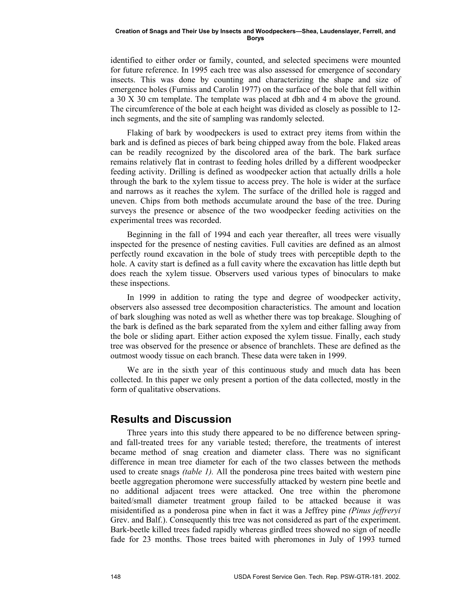identified to either order or family, counted, and selected specimens were mounted for future reference. In 1995 each tree was also assessed for emergence of secondary insects. This was done by counting and characterizing the shape and size of emergence holes (Furniss and Carolin 1977) on the surface of the bole that fell within a 30 X 30 cm template. The template was placed at dbh and 4 m above the ground. The circumference of the bole at each height was divided as closely as possible to 12 inch segments, and the site of sampling was randomly selected.

Flaking of bark by woodpeckers is used to extract prey items from within the bark and is defined as pieces of bark being chipped away from the bole. Flaked areas can be readily recognized by the discolored area of the bark. The bark surface remains relatively flat in contrast to feeding holes drilled by a different woodpecker feeding activity. Drilling is defined as woodpecker action that actually drills a hole through the bark to the xylem tissue to access prey. The hole is wider at the surface and narrows as it reaches the xylem. The surface of the drilled hole is ragged and uneven. Chips from both methods accumulate around the base of the tree. During surveys the presence or absence of the two woodpecker feeding activities on the experimental trees was recorded.

Beginning in the fall of 1994 and each year thereafter, all trees were visually inspected for the presence of nesting cavities. Full cavities are defined as an almost perfectly round excavation in the bole of study trees with perceptible depth to the hole. A cavity start is defined as a full cavity where the excavation has little depth but does reach the xylem tissue. Observers used various types of binoculars to make these inspections.

In 1999 in addition to rating the type and degree of woodpecker activity, observers also assessed tree decomposition characteristics. The amount and location of bark sloughing was noted as well as whether there was top breakage. Sloughing of the bark is defined as the bark separated from the xylem and either falling away from the bole or sliding apart. Either action exposed the xylem tissue. Finally, each study tree was observed for the presence or absence of branchlets. These are defined as the outmost woody tissue on each branch. These data were taken in 1999.

We are in the sixth year of this continuous study and much data has been collected. In this paper we only present a portion of the data collected, mostly in the form of qualitative observations.

### **Results and Discussion**

Three years into this study there appeared to be no difference between springand fall-treated trees for any variable tested; therefore, the treatments of interest became method of snag creation and diameter class. There was no significant difference in mean tree diameter for each of the two classes between the methods used to create snags *(table 1).* All the ponderosa pine trees baited with western pine beetle aggregation pheromone were successfully attacked by western pine beetle and no additional adjacent trees were attacked. One tree within the pheromone baited/small diameter treatment group failed to be attacked because it was misidentified as a ponderosa pine when in fact it was a Jeffrey pine *(Pinus jeffreryi* Grev. and Balf.). Consequently this tree was not considered as part of the experiment. Bark-beetle killed trees faded rapidly whereas girdled trees showed no sign of needle fade for 23 months. Those trees baited with pheromones in July of 1993 turned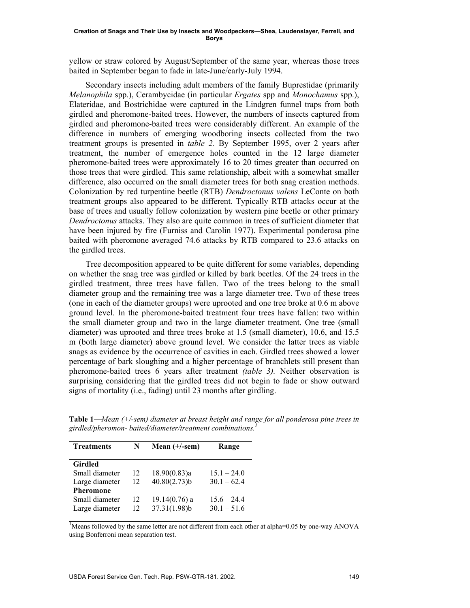yellow or straw colored by August/September of the same year, whereas those trees baited in September began to fade in late-June/early-July 1994.

Secondary insects including adult members of the family Buprestidae (primarily *Melanophila* spp.), Cerambycidae (in particular *Ergates* spp and *Monochamus* spp.), Elateridae, and Bostrichidae were captured in the Lindgren funnel traps from both girdled and pheromone-baited trees. However, the numbers of insects captured from girdled and pheromone-baited trees were considerably different. An example of the difference in numbers of emerging woodboring insects collected from the two treatment groups is presented in *table 2.* By September 1995, over 2 years after treatment, the number of emergence holes counted in the 12 large diameter pheromone-baited trees were approximately 16 to 20 times greater than occurred on those trees that were girdled. This same relationship, albeit with a somewhat smaller difference, also occurred on the small diameter trees for both snag creation methods. Colonization by red turpentine beetle (RTB) *Dendroctonus valens* LeConte on both treatment groups also appeared to be different. Typically RTB attacks occur at the base of trees and usually follow colonization by western pine beetle or other primary *Dendroctonus* attacks. They also are quite common in trees of sufficient diameter that have been injured by fire (Furniss and Carolin 1977). Experimental ponderosa pine baited with pheromone averaged 74.6 attacks by RTB compared to 23.6 attacks on the girdled trees.

Tree decomposition appeared to be quite different for some variables, depending on whether the snag tree was girdled or killed by bark beetles. Of the 24 trees in the girdled treatment, three trees have fallen. Two of the trees belong to the small diameter group and the remaining tree was a large diameter tree. Two of these trees (one in each of the diameter groups) were uprooted and one tree broke at 0.6 m above ground level. In the pheromone-baited treatment four trees have fallen: two within the small diameter group and two in the large diameter treatment. One tree (small diameter) was uprooted and three trees broke at 1.5 (small diameter), 10.6, and 15.5 m (both large diameter) above ground level. We consider the latter trees as viable snags as evidence by the occurrence of cavities in each. Girdled trees showed a lower percentage of bark sloughing and a higher percentage of branchlets still present than pheromone-baited trees 6 years after treatment *(table 3).* Neither observation is surprising considering that the girdled trees did not begin to fade or show outward signs of mortality (i.e., fading) until 23 months after girdling.

| <b>Treatments</b> | N  | Mean $(+/-sem)$ | Range         |  |
|-------------------|----|-----------------|---------------|--|
| <b>Girdled</b>    |    |                 |               |  |
| Small diameter    | 12 | 18.90(0.83)a    | $15.1 - 24.0$ |  |
| Large diameter    | 12 | $40.80(2.73)$ b | $30.1 - 62.4$ |  |
| <b>Pheromone</b>  |    |                 |               |  |
| Small diameter    | 12 | $19.14(0.76)$ a | $15.6 - 24.4$ |  |
| Large diameter    | 12 | 37.31(1.98)b    | $30.1 - 51.6$ |  |

**Table 1***Mean (+/-sem) diameter at breast height and range for all ponderosa pine trees in girdled/pheromon- baited/diameter/treatment combinations.1* 

<sup>1</sup>Means followed by the same letter are not different from each other at alpha=0.05 by one-way ANOVA using Bonferroni mean separation test.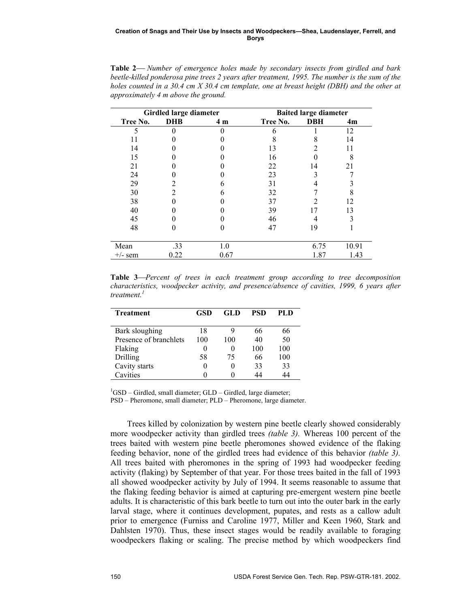| Girdled large diameter |            |                | <b>Baited large diameter</b> |            |       |  |
|------------------------|------------|----------------|------------------------------|------------|-------|--|
| Tree No.               | <b>DHB</b> | 4 <sub>m</sub> | Tree No.                     | <b>DBH</b> | 4m    |  |
| 5                      |            |                |                              |            | 12    |  |
| 11                     |            |                |                              |            | 14    |  |
| 14                     |            |                | 13                           |            |       |  |
| 15                     |            |                | 16                           |            | 8     |  |
| 21                     |            |                | 22                           | 14         | 21    |  |
| 24                     |            |                | 23                           |            |       |  |
| 29                     |            |                | 31                           |            |       |  |
| 30                     |            | h              | 32                           |            |       |  |
| 38                     |            |                | 37                           |            | 12    |  |
| 40                     |            |                | 39                           |            | 13    |  |
| 45                     |            |                | 46                           |            |       |  |
| 48                     |            | 0              | 47                           | 19         |       |  |
|                        |            |                |                              |            |       |  |
| Mean                   | .33        | 1.0            |                              | 6.75       | 10.91 |  |
| $+/-$ sem              | 0.22       | 0.67           |                              | 1.87       | 1.43  |  |

**Table 2** *Number of emergence holes made by secondary insects from girdled and bark beetle-killed ponderosa pine trees 2 years after treatment, 1995. The number is the sum of the holes counted in a 30.4 cm X 30.4 cm template, one at breast height (DBH) and the other at approximately 4 m above the ground.* 

**Table 3***Percent of trees in each treatment group according to tree decomposition characteristics, woodpecker activity, and presence/absence of cavities, 1999, 6 years after treatment.<sup>1</sup>*

| <b>Treatment</b>       | <b>GSD</b>       | GLD | <b>PSD</b> | PLD |
|------------------------|------------------|-----|------------|-----|
| Bark sloughing         | 18               | 9   | 66         | 66  |
| Presence of branchlets | 100              | 100 | 40         | 50  |
| Flaking                | 0                | 0   | 100        | 100 |
| Drilling               | 58               | 75  | 66         | 100 |
| Cavity starts          | $\left( \right)$ | 0   | 33         | 33  |
| Cavities               |                  |     | 44         | 44  |

<sup>1</sup>GSD – Girdled, small diameter; GLD – Girdled, large diameter; PSD – Pheromone, small diameter; PLD – Pheromone, large diameter.

Trees killed by colonization by western pine beetle clearly showed considerably more woodpecker activity than girdled trees *(table 3).* Whereas 100 percent of the trees baited with western pine beetle pheromones showed evidence of the flaking feeding behavior, none of the girdled trees had evidence of this behavior *(table 3).* All trees baited with pheromones in the spring of 1993 had woodpecker feeding activity (flaking) by September of that year. For those trees baited in the fall of 1993 all showed woodpecker activity by July of 1994. It seems reasonable to assume that the flaking feeding behavior is aimed at capturing pre-emergent western pine beetle adults. It is characteristic of this bark beetle to turn out into the outer bark in the early larval stage, where it continues development, pupates, and rests as a callow adult prior to emergence (Furniss and Caroline 1977, Miller and Keen 1960, Stark and Dahlsten 1970). Thus, these insect stages would be readily available to foraging woodpeckers flaking or scaling. The precise method by which woodpeckers find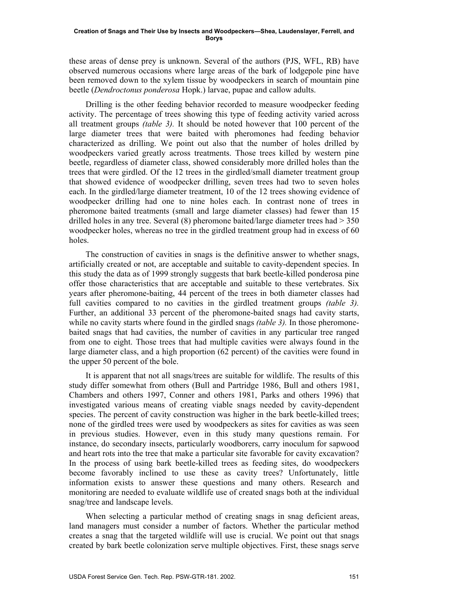these areas of dense prey is unknown. Several of the authors (PJS, WFL, RB) have observed numerous occasions where large areas of the bark of lodgepole pine have been removed down to the xylem tissue by woodpeckers in search of mountain pine beetle (*Dendroctonus ponderosa* Hopk.) larvae, pupae and callow adults.

Drilling is the other feeding behavior recorded to measure woodpecker feeding activity. The percentage of trees showing this type of feeding activity varied across all treatment groups *(table 3).* It should be noted however that 100 percent of the large diameter trees that were baited with pheromones had feeding behavior characterized as drilling. We point out also that the number of holes drilled by woodpeckers varied greatly across treatments. Those trees killed by western pine beetle, regardless of diameter class, showed considerably more drilled holes than the trees that were girdled. Of the 12 trees in the girdled/small diameter treatment group that showed evidence of woodpecker drilling, seven trees had two to seven holes each. In the girdled/large diameter treatment, 10 of the 12 trees showing evidence of woodpecker drilling had one to nine holes each. In contrast none of trees in pheromone baited treatments (small and large diameter classes) had fewer than 15 drilled holes in any tree. Several  $(8)$  pheromone baited/large diameter trees had  $> 350$ woodpecker holes, whereas no tree in the girdled treatment group had in excess of 60 holes.

The construction of cavities in snags is the definitive answer to whether snags, artificially created or not, are acceptable and suitable to cavity-dependent species. In this study the data as of 1999 strongly suggests that bark beetle-killed ponderosa pine offer those characteristics that are acceptable and suitable to these vertebrates. Six years after pheromone-baiting, 44 percent of the trees in both diameter classes had full cavities compared to no cavities in the girdled treatment groups *(table 3).* Further, an additional 33 percent of the pheromone-baited snags had cavity starts, while no cavity starts where found in the girdled snags *(table 3)*. In those pheromonebaited snags that had cavities, the number of cavities in any particular tree ranged from one to eight. Those trees that had multiple cavities were always found in the large diameter class, and a high proportion (62 percent) of the cavities were found in the upper 50 percent of the bole.

It is apparent that not all snags/trees are suitable for wildlife. The results of this study differ somewhat from others (Bull and Partridge 1986, Bull and others 1981, Chambers and others 1997, Conner and others 1981, Parks and others 1996) that investigated various means of creating viable snags needed by cavity-dependent species. The percent of cavity construction was higher in the bark beetle-killed trees; none of the girdled trees were used by woodpeckers as sites for cavities as was seen in previous studies. However, even in this study many questions remain. For instance, do secondary insects, particularly woodborers, carry inoculum for sapwood and heart rots into the tree that make a particular site favorable for cavity excavation? In the process of using bark beetle-killed trees as feeding sites, do woodpeckers become favorably inclined to use these as cavity trees? Unfortunately, little information exists to answer these questions and many others. Research and monitoring are needed to evaluate wildlife use of created snags both at the individual snag/tree and landscape levels.

When selecting a particular method of creating snags in snag deficient areas, land managers must consider a number of factors. Whether the particular method creates a snag that the targeted wildlife will use is crucial. We point out that snags created by bark beetle colonization serve multiple objectives. First, these snags serve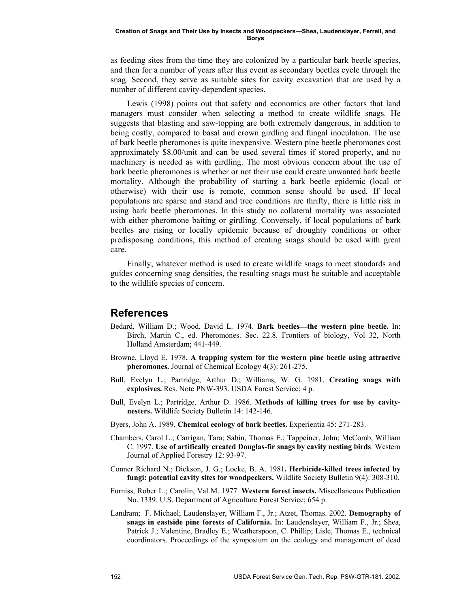as feeding sites from the time they are colonized by a particular bark beetle species, and then for a number of years after this event as secondary beetles cycle through the snag. Second, they serve as suitable sites for cavity excavation that are used by a number of different cavity-dependent species.

Lewis (1998) points out that safety and economics are other factors that land managers must consider when selecting a method to create wildlife snags. He suggests that blasting and saw-topping are both extremely dangerous, in addition to being costly, compared to basal and crown girdling and fungal inoculation. The use of bark beetle pheromones is quite inexpensive. Western pine beetle pheromones cost approximately \$8.00/unit and can be used several times if stored properly, and no machinery is needed as with girdling. The most obvious concern about the use of bark beetle pheromones is whether or not their use could create unwanted bark beetle mortality. Although the probability of starting a bark beetle epidemic (local or otherwise) with their use is remote, common sense should be used. If local populations are sparse and stand and tree conditions are thrifty, there is little risk in using bark beetle pheromones. In this study no collateral mortality was associated with either pheromone baiting or girdling. Conversely, if local populations of bark beetles are rising or locally epidemic because of droughty conditions or other predisposing conditions, this method of creating snags should be used with great care.

Finally, whatever method is used to create wildlife snags to meet standards and guides concerning snag densities, the resulting snags must be suitable and acceptable to the wildlife species of concern.

### **References**

- Bedard, William D.; Wood, David L. 1974. **Bark beetlesthe western pine beetle.** In: Birch, Martin C., ed. Pheromones. Sec. 22.8. Frontiers of biology, Vol 32, North Holland Amsterdam; 441-449.
- Browne, Lloyd E. 1978**. A trapping system for the western pine beetle using attractive pheromones.** Journal of Chemical Ecology 4(3): 261-275.
- Bull, Evelyn L.; Partridge, Arthur D.; Williams, W. G. 1981. **Creating snags with explosives.** Res. Note PNW-393. USDA Forest Service; 4 p.
- Bull, Evelyn L.; Partridge, Arthur D. 1986. **Methods of killing trees for use by cavitynesters.** Wildlife Society Bulletin 14: 142-146.
- Byers, John A. 1989. **Chemical ecology of bark beetles.** Experientia 45: 271-283.
- Chambers, Carol L.; Carrigan, Tara; Sabin, Thomas E.; Tappeiner, John; McComb, William C. 1997. **Use of artifically created Douglas-fir snags by cavity nesting birds**. Western Journal of Applied Forestry 12: 93-97.
- Conner Richard N.; Dickson, J. G.; Locke, B. A. 1981**. Herbicide-killed trees infected by fungi: potential cavity sites for woodpeckers.** Wildlife Society Bulletin 9(4): 308-310.
- Furniss, Rober L.; Carolin, Val M. 1977. **Western forest insects.** Miscellaneous Publication No. 1339. U.S. Department of Agriculture Forest Service; 654 p.
- Landram; F. Michael; Laudenslayer, William F., Jr.; Atzet, Thomas. 2002. **Demography of snags in eastside pine forests of California.** In: Laudenslayer, William F., Jr.; Shea, Patrick J.; Valentine, Bradley E.; Weatherspoon, C. Phillip; Lisle, Thomas E., technical coordinators. Proceedings of the symposium on the ecology and management of dead